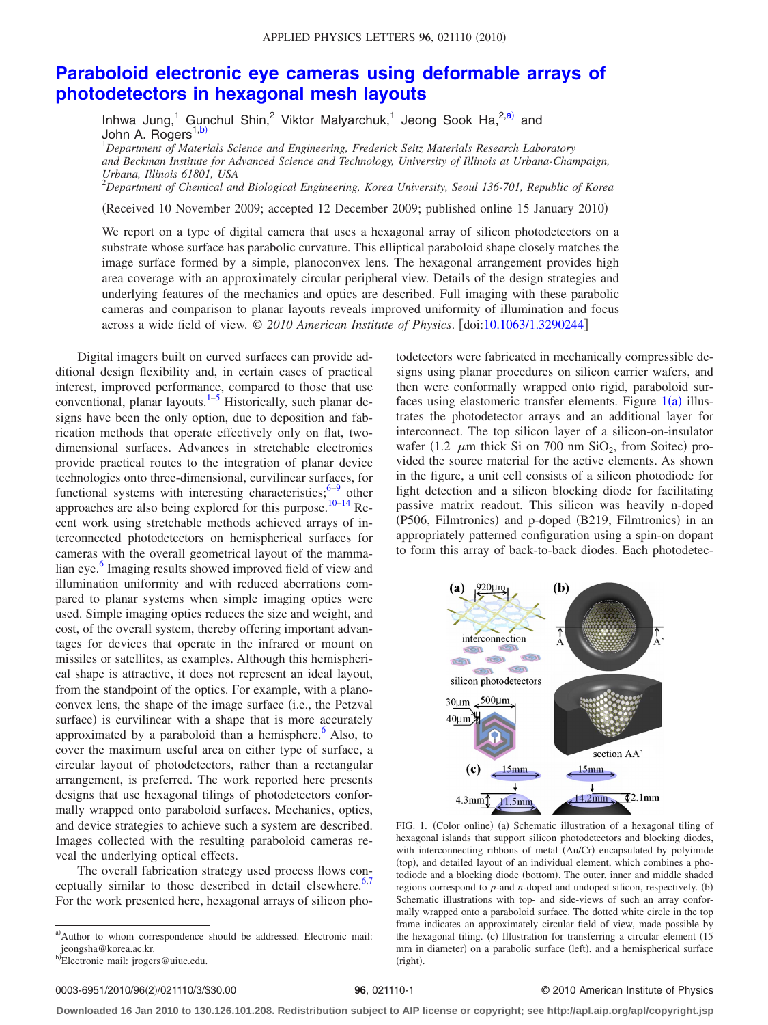## **[Paraboloid electronic eye cameras using deformable arrays of](http://dx.doi.org/10.1063/1.3290244) [photodetectors in hexagonal mesh layouts](http://dx.doi.org/10.1063/1.3290244)**

Inhwa Jung,<sup>1</sup> Gunchul Shin,<sup>2</sup> Viktor Malyarchuk,<sup>1</sup> Jeong Sook Ha, $^{2,a)}$  $^{2,a)}$  $^{2,a)}$  and John A. Rogers<sup>1[,b](#page-0-1)</sup>

1 *Department of Materials Science and Engineering, Frederick Seitz Materials Research Laboratory and Beckman Institute for Advanced Science and Technology, University of Illinois at Urbana-Champaign, Urbana, Illinois 61801, USA*

2 *Department of Chemical and Biological Engineering, Korea University, Seoul 136-701, Republic of Korea*

(Received 10 November 2009; accepted 12 December 2009; published online 15 January 2010)

We report on a type of digital camera that uses a hexagonal array of silicon photodetectors on a substrate whose surface has parabolic curvature. This elliptical paraboloid shape closely matches the image surface formed by a simple, planoconvex lens. The hexagonal arrangement provides high area coverage with an approximately circular peripheral view. Details of the design strategies and underlying features of the mechanics and optics are described. Full imaging with these parabolic cameras and comparison to planar layouts reveals improved uniformity of illumination and focus across a wide field of view. © *2010 American Institute of Physics*. doi[:10.1063/1.3290244](http://dx.doi.org/10.1063/1.3290244)

Digital imagers built on curved surfaces can provide additional design flexibility and, in certain cases of practical interest, improved performance, compared to those that use conventional, planar layouts. $1-5$  Historically, such planar designs have been the only option, due to deposition and fabrication methods that operate effectively only on flat, twodimensional surfaces. Advances in stretchable electronics provide practical routes to the integration of planar device technologies onto three-dimensional, curvilinear surfaces, for functional systems with interesting characteristics; $6-9$  other approaches are also being explored for this purpose.<sup>10–[14](#page-2-5)</sup> Recent work using stretchable methods achieved arrays of interconnected photodetectors on hemispherical surfaces for cameras with the overall geometrical layout of the mammalian eye.<sup>6</sup> Imaging results showed improved field of view and illumination uniformity and with reduced aberrations compared to planar systems when simple imaging optics were used. Simple imaging optics reduces the size and weight, and cost, of the overall system, thereby offering important advantages for devices that operate in the infrared or mount on missiles or satellites, as examples. Although this hemispherical shape is attractive, it does not represent an ideal layout, from the standpoint of the optics. For example, with a planoconvex lens, the shape of the image surface (i.e., the Petzval surface) is curvilinear with a shape that is more accurately approximated by a paraboloid than a hemisphere. $6$  Also, to cover the maximum useful area on either type of surface, a circular layout of photodetectors, rather than a rectangular arrangement, is preferred. The work reported here presents designs that use hexagonal tilings of photodetectors conformally wrapped onto paraboloid surfaces. Mechanics, optics, and device strategies to achieve such a system are described. Images collected with the resulting paraboloid cameras reveal the underlying optical effects.

<span id="page-0-0"></span>The overall fabrication strategy used process flows conceptually similar to those described in detail elsewhere. $6,7$  $6,7$ For the work presented here, hexagonal arrays of silicon photodetectors were fabricated in mechanically compressible designs using planar procedures on silicon carrier wafers, and then were conformally wrapped onto rigid, paraboloid surfaces using elastomeric transfer elements. Figure  $1(a)$  $1(a)$  illustrates the photodetector arrays and an additional layer for interconnect. The top silicon layer of a silicon-on-insulator wafer (1.2  $\mu$ m thick Si on 700 nm SiO<sub>2</sub>, from Soitec) provided the source material for the active elements. As shown in the figure, a unit cell consists of a silicon photodiode for light detection and a silicon blocking diode for facilitating passive matrix readout. This silicon was heavily n-doped (P506, Filmtronics) and p-doped (B219, Filmtronics) in an appropriately patterned configuration using a spin-on dopant to form this array of back-to-back diodes. Each photodetec-

<span id="page-0-2"></span>

FIG. 1. (Color online) (a) Schematic illustration of a hexagonal tiling of hexagonal islands that support silicon photodetectors and blocking diodes, with interconnecting ribbons of metal (Au/Cr) encapsulated by polyimide (top), and detailed layout of an individual element, which combines a photodiode and a blocking diode (bottom). The outer, inner and middle shaded regions correspond to *p*-and *n*-doped and undoped silicon, respectively. (b) Schematic illustrations with top- and side-views of such an array conformally wrapped onto a paraboloid surface. The dotted white circle in the top frame indicates an approximately circular field of view, made possible by the hexagonal tiling. (c) Illustration for transferring a circular element (15 mm in diameter) on a parabolic surface (left), and a hemispherical surface (right).

## **26**, 021110-1 **30.00 CENTER SERVICE OF PHYSICS CENTER STATE 96**, 021110-1

**Downloaded 16 Jan 2010 to 130.126.101.208. Redistribution subject to AIP license or copyright; see http://apl.aip.org/apl/copyright.jsp**

<span id="page-0-1"></span>a)Author to whom correspondence should be addressed. Electronic mail: jeongsha@korea.ac.kr.

b)Electronic mail: jrogers@uiuc.edu.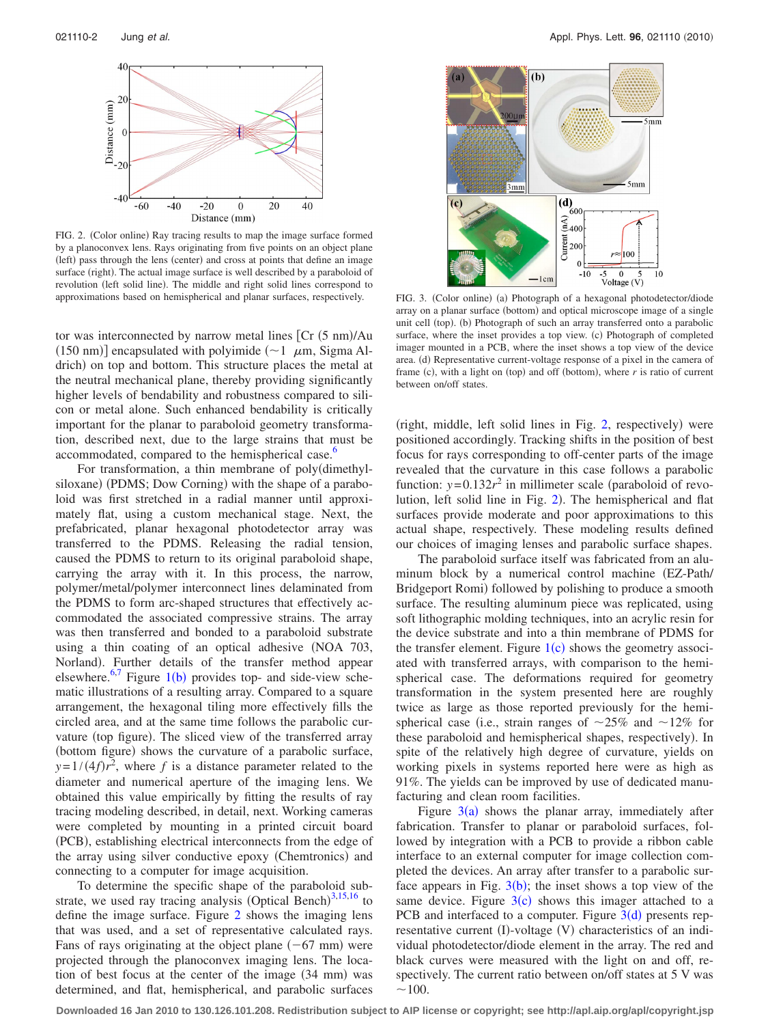<span id="page-1-0"></span>

FIG. 2. (Color online) Ray tracing results to map the image surface formed by a planoconvex lens. Rays originating from five points on an object plane (left) pass through the lens (center) and cross at points that define an image surface (right). The actual image surface is well described by a paraboloid of revolution (left solid line). The middle and right solid lines correspond to approximations based on hemispherical and planar surfaces, respectively.

tor was interconnected by narrow metal lines [Cr (5 nm)/Au (150 nm)] encapsulated with polyimide  $(\sim)1$   $\mu$ m, Sigma Aldrich) on top and bottom. This structure places the metal at the neutral mechanical plane, thereby providing significantly higher levels of bendability and robustness compared to silicon or metal alone. Such enhanced bendability is critically important for the planar to paraboloid geometry transformation, described next, due to the large strains that must be accommodated, compared to the hemispherical case.<sup>6</sup>

For transformation, a thin membrane of poly(dimethylsiloxane) (PDMS; Dow Corning) with the shape of a paraboloid was first stretched in a radial manner until approximately flat, using a custom mechanical stage. Next, the prefabricated, planar hexagonal photodetector array was transferred to the PDMS. Releasing the radial tension, caused the PDMS to return to its original paraboloid shape, carrying the array with it. In this process, the narrow, polymer/metal/polymer interconnect lines delaminated from the PDMS to form arc-shaped structures that effectively accommodated the associated compressive strains. The array was then transferred and bonded to a paraboloid substrate using a thin coating of an optical adhesive NOA 703, Norland). Further details of the transfer method appear elsewhere.<sup>6,[7](#page-2-6)</sup> Figure [1](#page-0-2)(b) provides top- and side-view schematic illustrations of a resulting array. Compared to a square arrangement, the hexagonal tiling more effectively fills the circled area, and at the same time follows the parabolic curvature (top figure). The sliced view of the transferred array (bottom figure) shows the curvature of a parabolic surface,  $y=1/(4f)r^2$ , where *f* is a distance parameter related to the diameter and numerical aperture of the imaging lens. We obtained this value empirically by fitting the results of ray tracing modeling described, in detail, next. Working cameras were completed by mounting in a printed circuit board (PCB), establishing electrical interconnects from the edge of the array using silver conductive epoxy (Chemtronics) and connecting to a computer for image acquisition.

To determine the specific shape of the paraboloid substrate, we used ray tracing analysis (Optical Bench) $^{3,15,16}$  $^{3,15,16}$  $^{3,15,16}$  $^{3,15,16}$  $^{3,15,16}$  to define the image surface. Figure [2](#page-1-0) shows the imaging lens that was used, and a set of representative calculated rays. Fans of rays originating at the object plane  $(-67 \text{ mm})$  were projected through the planoconvex imaging lens. The location of best focus at the center of the image (34 mm) was determined, and flat, hemispherical, and parabolic surfaces

<span id="page-1-1"></span>

(a) Photograph of a hexagonal photodetector/diode array on a planar surface (bottom) and optical microscope image of a single unit cell (top). (b) Photograph of such an array transferred onto a parabolic surface, where the inset provides a top view. (c) Photograph of completed imager mounted in a PCB, where the inset shows a top view of the device area. (d) Representative current-voltage response of a pixel in the camera of frame (c), with a light on (top) and off (bottom), where  $r$  is ratio of current between on/off states.

(right, middle, left solid lines in Fig. [2,](#page-1-0) respectively) were positioned accordingly. Tracking shifts in the position of best focus for rays corresponding to off-center parts of the image revealed that the curvature in this case follows a parabolic function:  $y=0.132r^2$  in millimeter scale (paraboloid of revo-lution, left solid line in Fig. [2](#page-1-0)). The hemispherical and flat surfaces provide moderate and poor approximations to this actual shape, respectively. These modeling results defined our choices of imaging lenses and parabolic surface shapes.

The paraboloid surface itself was fabricated from an aluminum block by a numerical control machine EZ-Path/ Bridgeport Romi) followed by polishing to produce a smooth surface. The resulting aluminum piece was replicated, using soft lithographic molding techniques, into an acrylic resin for the device substrate and into a thin membrane of PDMS for the transfer element. Figure  $1(c)$  $1(c)$  shows the geometry associated with transferred arrays, with comparison to the hemispherical case. The deformations required for geometry transformation in the system presented here are roughly twice as large as those reported previously for the hemispherical case (i.e., strain ranges of  $\sim$ 25% and  $\sim$ 12% for these paraboloid and hemispherical shapes, respectively). In spite of the relatively high degree of curvature, yields on working pixels in systems reported here were as high as 91%. The yields can be improved by use of dedicated manufacturing and clean room facilities.

Figure  $3(a)$  $3(a)$  shows the planar array, immediately after fabrication. Transfer to planar or paraboloid surfaces, followed by integration with a PCB to provide a ribbon cable interface to an external computer for image collection completed the devices. An array after transfer to a parabolic surface appears in Fig.  $3(b)$  $3(b)$ ; the inset shows a top view of the same device. Figure  $3(c)$  $3(c)$  shows this imager attached to a PCB and interfaced to a computer. Figure  $3(d)$  $3(d)$  presents representative current (I)-voltage (V) characteristics of an individual photodetector/diode element in the array. The red and black curves were measured with the light on and off, respectively. The current ratio between on/off states at 5 V was  $~100.$ 

**Downloaded 16 Jan 2010 to 130.126.101.208. Redistribution subject to AIP license or copyright; see http://apl.aip.org/apl/copyright.jsp**